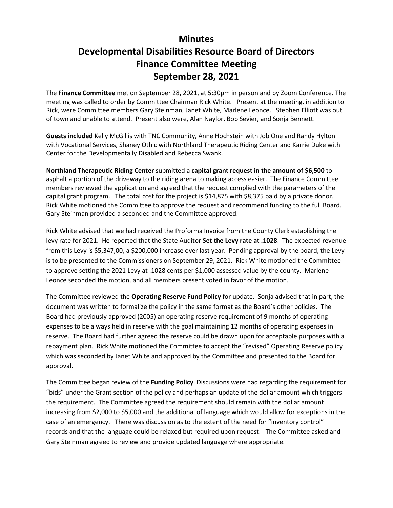## **Minutes Developmental Disabilities Resource Board of Directors Finance Committee Meeting September 28, 2021**

The **Finance Committee** met on September 28, 2021, at 5:30pm in person and by Zoom Conference. The meeting was called to order by Committee Chairman Rick White. Present at the meeting, in addition to Rick, were Committee members Gary Steinman, Janet White, Marlene Leonce. Stephen Elliott was out of town and unable to attend. Present also were, Alan Naylor, Bob Sevier, and Sonja Bennett.

**Guests included** Kelly McGillis with TNC Community, Anne Hochstein with Job One and Randy Hylton with Vocational Services, Shaney Othic with Northland Therapeutic Riding Center and Karrie Duke with Center for the Developmentally Disabled and Rebecca Swank.

**Northland Therapeutic Riding Center** submitted a **capital grant request in the amount of \$6,500** to asphalt a portion of the driveway to the riding arena to making access easier. The Finance Committee members reviewed the application and agreed that the request complied with the parameters of the capital grant program. The total cost for the project is \$14,875 with \$8,375 paid by a private donor. Rick White motioned the Committee to approve the request and recommend funding to the full Board. Gary Steinman provided a seconded and the Committee approved.

Rick White advised that we had received the Proforma Invoice from the County Clerk establishing the levy rate for 2021. He reported that the State Auditor **Set the Levy rate at .1028**. The expected revenue from this Levy is \$5,347,00, a \$200,000 increase over last year. Pending approval by the board, the Levy is to be presented to the Commissioners on September 29, 2021. Rick White motioned the Committee to approve setting the 2021 Levy at .1028 cents per \$1,000 assessed value by the county. Marlene Leonce seconded the motion, and all members present voted in favor of the motion.

The Committee reviewed the **Operating Reserve Fund Policy** for update. Sonja advised that in part, the document was written to formalize the policy in the same format as the Board's other policies. The Board had previously approved (2005) an operating reserve requirement of 9 months of operating expenses to be always held in reserve with the goal maintaining 12 months of operating expenses in reserve. The Board had further agreed the reserve could be drawn upon for acceptable purposes with a repayment plan. Rick White motioned the Committee to accept the "revised" Operating Reserve policy which was seconded by Janet White and approved by the Committee and presented to the Board for approval.

The Committee began review of the **Funding Policy**. Discussions were had regarding the requirement for "bids" under the Grant section of the policy and perhaps an update of the dollar amount which triggers the requirement. The Committee agreed the requirement should remain with the dollar amount increasing from \$2,000 to \$5,000 and the additional of language which would allow for exceptions in the case of an emergency. There was discussion as to the extent of the need for "inventory control" records and that the language could be relaxed but required upon request. The Committee asked and Gary Steinman agreed to review and provide updated language where appropriate.